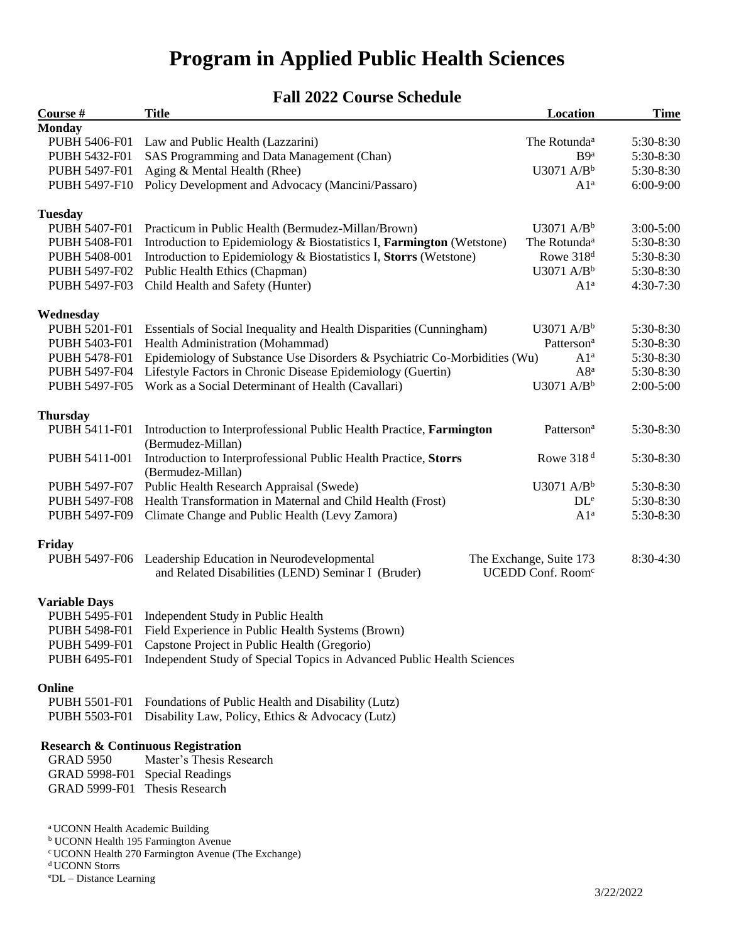# **Program in Applied Public Health Sciences**

# **Fall 2022 Course Schedule**

| Course #                                    | <b>Title</b>                                                              | Location                      | <b>Time</b>   |
|---------------------------------------------|---------------------------------------------------------------------------|-------------------------------|---------------|
| <b>Monday</b>                               |                                                                           |                               |               |
| PUBH 5406-F01                               | Law and Public Health (Lazzarini)                                         | The Rotunda <sup>a</sup>      | 5:30-8:30     |
| PUBH 5432-F01                               | SAS Programming and Data Management (Chan)                                | B <sub>9a</sub>               | 5:30-8:30     |
| PUBH 5497-F01                               | Aging & Mental Health (Rhee)                                              | $U3071$ A/B <sup>b</sup>      | 5:30-8:30     |
| PUBH 5497-F10                               | Policy Development and Advocacy (Mancini/Passaro)                         | A1 <sup>a</sup>               | 6:00-9:00     |
|                                             |                                                                           |                               |               |
| <b>Tuesday</b><br>PUBH 5407-F01             | Practicum in Public Health (Bermudez-Millan/Brown)                        | U3071 $A/Bb$                  | $3:00 - 5:00$ |
| PUBH 5408-F01                               | Introduction to Epidemiology & Biostatistics I, Farmington (Wetstone)     | The Rotunda <sup>a</sup>      | 5:30-8:30     |
| PUBH 5408-001                               | Introduction to Epidemiology & Biostatistics I, Storrs (Wetstone)         | Rowe 318 <sup>d</sup>         | 5:30-8:30     |
| PUBH 5497-F02                               | Public Health Ethics (Chapman)                                            | $U3071$ A/B <sup>b</sup>      | 5:30-8:30     |
| PUBH 5497-F03                               | Child Health and Safety (Hunter)                                          | A1 <sup>a</sup>               | 4:30-7:30     |
|                                             |                                                                           |                               |               |
| Wednesday                                   |                                                                           |                               |               |
| PUBH 5201-F01                               | Essentials of Social Inequality and Health Disparities (Cunningham)       | U3071 $A/Bb$                  | 5:30-8:30     |
| PUBH 5403-F01                               | Health Administration (Mohammad)                                          | Patterson <sup>a</sup>        | 5:30-8:30     |
| PUBH 5478-F01                               | Epidemiology of Substance Use Disorders & Psychiatric Co-Morbidities (Wu) | A1 <sup>a</sup>               | 5:30-8:30     |
| PUBH 5497-F04                               | Lifestyle Factors in Chronic Disease Epidemiology (Guertin)               | $A8^a$                        | 5:30-8:30     |
| PUBH 5497-F05                               | Work as a Social Determinant of Health (Cavallari)                        | $U3071$ A/B <sup>b</sup>      | $2:00-5:00$   |
| <b>Thursday</b>                             |                                                                           |                               |               |
| PUBH 5411-F01                               | Introduction to Interprofessional Public Health Practice, Farmington      | Patterson <sup>a</sup>        | 5:30-8:30     |
|                                             | (Bermudez-Millan)                                                         |                               |               |
| PUBH 5411-001                               | Introduction to Interprofessional Public Health Practice, Storrs          | Rowe 318 <sup>d</sup>         | 5:30-8:30     |
|                                             | (Bermudez-Millan)                                                         |                               |               |
| PUBH 5497-F07                               | Public Health Research Appraisal (Swede)                                  | $U3071$ A/B <sup>b</sup>      | 5:30-8:30     |
| PUBH 5497-F08                               | Health Transformation in Maternal and Child Health (Frost)                | DL <sup>e</sup>               | 5:30-8:30     |
| PUBH 5497-F09                               | Climate Change and Public Health (Levy Zamora)                            | A1 <sup>a</sup>               | 5:30-8:30     |
| Friday                                      |                                                                           |                               |               |
| PUBH 5497-F06                               | Leadership Education in Neurodevelopmental                                | The Exchange, Suite 173       | 8:30-4:30     |
|                                             | and Related Disabilities (LEND) Seminar I (Bruder)                        | UCEDD Conf. Room <sup>c</sup> |               |
|                                             |                                                                           |                               |               |
| <b>Variable Days</b>                        |                                                                           |                               |               |
| PUBH 5495-F01                               | Independent Study in Public Health                                        |                               |               |
| PUBH 5498-F01                               | Field Experience in Public Health Systems (Brown)                         |                               |               |
| PUBH 5499-F01                               | Capstone Project in Public Health (Gregorio)                              |                               |               |
| PUBH 6495-F01                               | Independent Study of Special Topics in Advanced Public Health Sciences    |                               |               |
| Online                                      |                                                                           |                               |               |
| PUBH 5501-F01                               | Foundations of Public Health and Disability (Lutz)                        |                               |               |
| PUBH 5503-F01                               | Disability Law, Policy, Ethics & Advocacy (Lutz)                          |                               |               |
|                                             | <b>Research &amp; Continuous Registration</b>                             |                               |               |
| <b>GRAD 5950</b>                            | Master's Thesis Research                                                  |                               |               |
| GRAD 5998-F01                               | <b>Special Readings</b>                                                   |                               |               |
| GRAD 5999-F01                               | Thesis Research                                                           |                               |               |
|                                             |                                                                           |                               |               |
|                                             |                                                                           |                               |               |
| <sup>a</sup> UCONN Health Academic Building | <sup>b</sup> UCONN Health 195 Farmington Avenue                           |                               |               |

<sup>c</sup> UCONN Health 270 Farmington Avenue (The Exchange)

 $\rm ^d$  UCONN Storrs

<sup>e</sup>DL – Distance Learning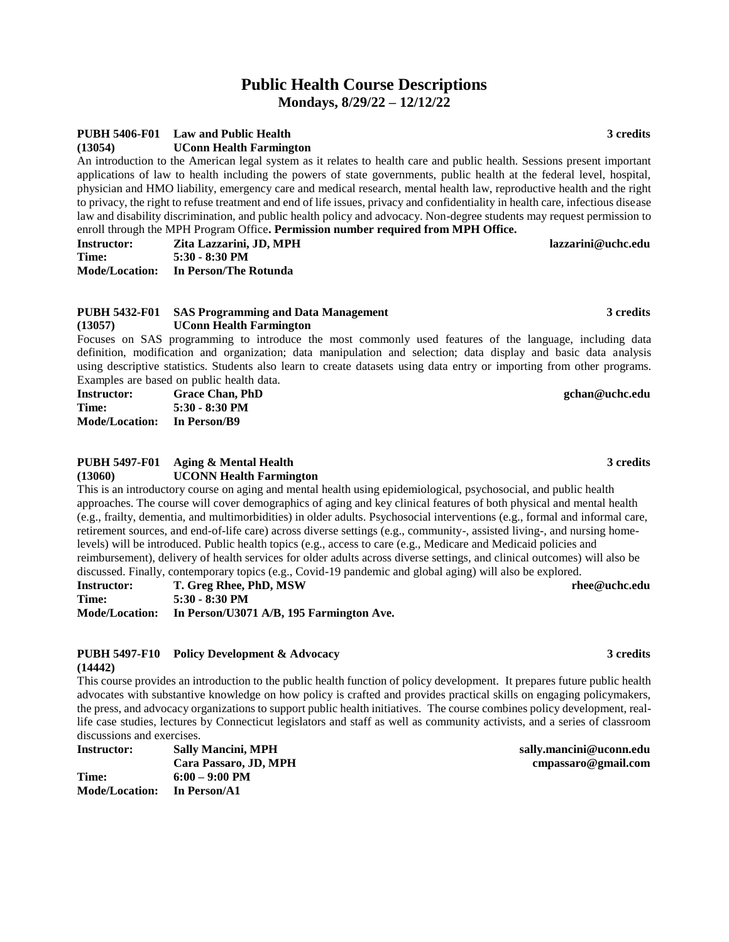# **Public Health Course Descriptions Mondays, 8/29/22 – 12/12/22**

#### **PUBH 5406-F01 Law and Public Health 3 credits**

**(13054) UConn Health Farmington**

An introduction to the American legal system as it relates to health care and public health. Sessions present important applications of law to health including the powers of state governments, public health at the federal level, hospital, physician and HMO liability, emergency care and medical research, mental health law, reproductive health and the right to privacy, the right to refuse treatment and end of life issues, privacy and confidentiality in health care, infectious disease law and disability discrimination, and public health policy and advocacy. Non-degree students may request permission to enroll through the MPH Program Office**. Permission number required from MPH Office.**

| <b>Instructor:</b> | Zita Lazzarini, JD, MPH              | lazzarini@uchc.edu |
|--------------------|--------------------------------------|--------------------|
| Time:              | 5:30 - 8:30 PM                       |                    |
|                    | Mode/Location: In Person/The Rotunda |                    |

#### **PUBH 5432-F01 SAS Programming and Data Management 3 credits (13057) UConn Health Farmington**

Focuses on SAS programming to introduce the most commonly used features of the language, including data definition, modification and organization; data manipulation and selection; data display and basic data analysis using descriptive statistics. Students also learn to create datasets using data entry or importing from other programs. Examples are based on public health data.

| <b>Instructor:</b>    | <b>Grace Chan, PhD</b> | gchan@uchc.edu |
|-----------------------|------------------------|----------------|
| Time:                 | $5:30 - 8:30$ PM       |                |
| <b>Mode/Location:</b> | In Person/B9           |                |

#### **PUBH 5497-F01 Aging & Mental Health 3 credits (13060) UCONN Health Farmington**

This is an introductory course on aging and mental health using epidemiological, psychosocial, and public health approaches. The course will cover demographics of aging and key clinical features of both physical and mental health (e.g., frailty, dementia, and multimorbidities) in older adults. Psychosocial interventions (e.g., formal and informal care, retirement sources, and end-of-life care) across diverse settings (e.g., community-, assisted living-, and nursing homelevels) will be introduced. Public health topics (e.g., access to care (e.g., Medicare and Medicaid policies and reimbursement), delivery of health services for older adults across diverse settings, and clinical outcomes) will also be discussed. Finally, contemporary topics (e.g., Covid-19 pandemic and global aging) will also be explored.

| Instructor:           | T. Greg Rhee, PhD, MSW                   |
|-----------------------|------------------------------------------|
| Time:                 | 5:30 - 8:30 PM                           |
| <b>Mode/Location:</b> | In Person/U3071 A/B, 195 Farmington Ave. |

#### **PUBH 5497-F10 Policy Development & Advocacy 3 credits (14442)**

This course provides an introduction to the public health function of policy development. It prepares future public health advocates with substantive knowledge on how policy is crafted and provides practical skills on engaging policymakers, the press, and advocacy organizations to support public health initiatives. The course combines policy development, reallife case studies, lectures by Connecticut legislators and staff as well as community activists, and a series of classroom discussions and exercises.

| Instructor:           | <b>Sally Mancini, MPH</b> |
|-----------------------|---------------------------|
|                       | Cara Passaro, JD, MPH     |
| Time:                 | $6:00 - 9:00$ PM          |
| <b>Mode/Location:</b> | In Person/A1              |

 $s$ ally.mancini@uconn.edu **Cara Passaro, JD, MPH cmpassaro@gmail.com**

 $\mathbf{r}$ hee@uchc.edu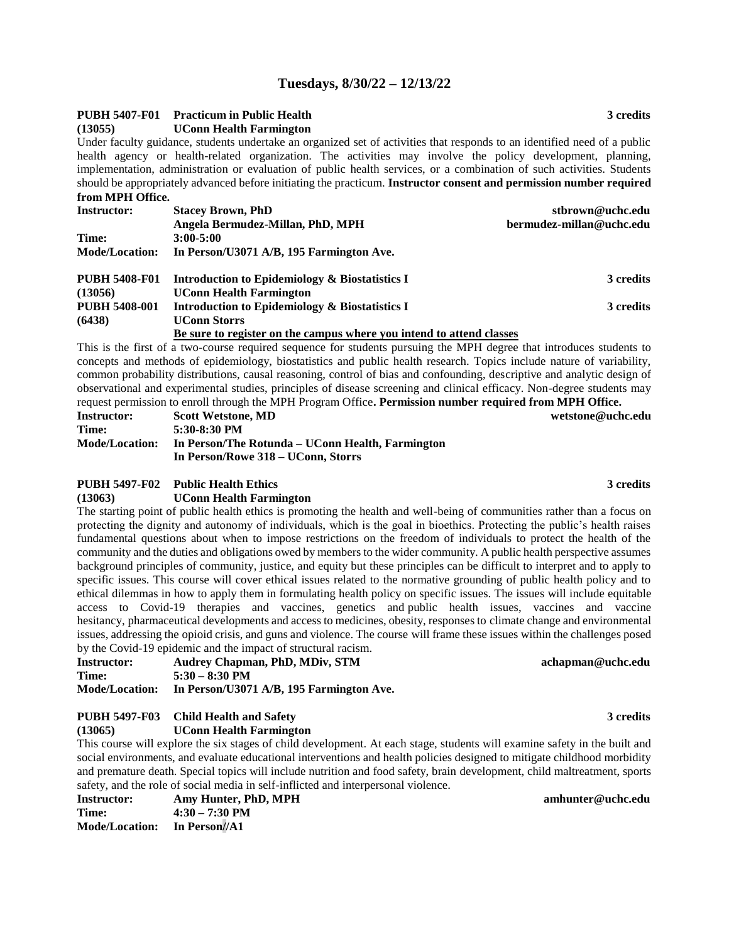#### **Tuesdays, 8/30/22 – 12/13/22**

### **PUBH 5407-F01 Practicum in Public Health 3 credits**

**(13055) UConn Health Farmington**

Under faculty guidance, students undertake an organized set of activities that responds to an identified need of a public health agency or health-related organization. The activities may involve the policy development, planning, implementation, administration or evaluation of public health services, or a combination of such activities. Students should be appropriately advanced before initiating the practicum. **Instructor consent and permission number required from MPH Office.**

| <b>Instructor:</b>    | <b>Stacey Brown, PhD</b>                                             | stbrown@uchc.edu         |
|-----------------------|----------------------------------------------------------------------|--------------------------|
|                       | Angela Bermudez-Millan, PhD, MPH                                     | bermudez-millan@uchc.edu |
| Time:                 | $3:00 - 5:00$                                                        |                          |
| <b>Mode/Location:</b> | In Person/U3071 A/B, 195 Farmington Ave.                             |                          |
| <b>PUBH 5408-F01</b>  | Introduction to Epidemiology & Biostatistics I                       | 3 credits                |
| (13056)               | <b>UConn Health Farmington</b>                                       |                          |
| <b>PUBH 5408-001</b>  | Introduction to Epidemiology & Biostatistics I                       | 3 credits                |
| (6438)                | <b>UConn Storrs</b>                                                  |                          |
|                       | Be sure to register on the campus where you intend to attend classes |                          |

This is the first of a two-course required sequence for students pursuing the MPH degree that introduces students to concepts and methods of epidemiology, biostatistics and public health research. Topics include nature of variability, common probability distributions, causal reasoning, control of bias and confounding, descriptive and analytic design of observational and experimental studies, principles of disease screening and clinical efficacy. Non-degree students may request permission to enroll through the MPH Program Office**. Permission number required from MPH Office.**

| <b>Instructor:</b>    | <b>Scott Wetstone, MD</b>                        | wetstone@uchc.edu |
|-----------------------|--------------------------------------------------|-------------------|
| Time:                 | 5:30-8:30 PM                                     |                   |
| <b>Mode/Location:</b> | In Person/The Rotunda – UConn Health, Farmington |                   |
|                       | In Person/Rowe 318 – UConn, Storrs               |                   |

#### **PUBH 5497-F02 Public Health Ethics 3 credits**

**(13063) UConn Health Farmington**

The starting point of public health ethics is promoting the health and well-being of communities rather than a focus on protecting the dignity and autonomy of individuals, which is the goal in bioethics. Protecting the public's health raises fundamental questions about when to impose restrictions on the freedom of individuals to protect the health of the community and the duties and obligations owed by members to the wider community. A public health perspective assumes background principles of community, justice, and equity but these principles can be difficult to interpret and to apply to specific issues. This course will cover ethical issues related to the normative grounding of public health policy and to ethical dilemmas in how to apply them in formulating health policy on specific issues. The issues will include equitable access to Covid-19 therapies and vaccines, genetics and public health issues, vaccines and vaccine hesitancy, pharmaceutical developments and access to medicines, obesity, responses to climate change and environmental issues, addressing the opioid crisis, and guns and violence. The course will frame these issues within the challenges posed by the Covid-19 epidemic and the impact of structural racism.

| <b>Instructor:</b>    | Audrey Chapman, PhD, MDiv, STM           |
|-----------------------|------------------------------------------|
| Time:                 | $5:30 - 8:30$ PM                         |
| <b>Mode/Location:</b> | In Person/U3071 A/B, 195 Farmington Ave. |

#### **PUBH 5497-F03 Child Health and Safety 3 credits**

**(13065) UConn Health Farmington**

This course will explore the six stages of child development. At each stage, students will examine safety in the built and social environments, and evaluate educational interventions and health policies designed to mitigate childhood morbidity and premature death. Special topics will include nutrition and food safety, brain development, child maltreatment, sports safety, and the role of social media in self-inflicted and interpersonal violence.

| <b>Instructor:</b>                  | Amy Hunter, PhD, MPH     | amhunter@uchc.edu |
|-------------------------------------|--------------------------|-------------------|
| Time:                               | $4:30 - 7:30 \text{ PM}$ |                   |
| <b>Mode/Location:</b> In Person//A1 |                          |                   |

**Instructor: Audrey Chapman, PhD, MDiv, STM achapman@uchc.edu**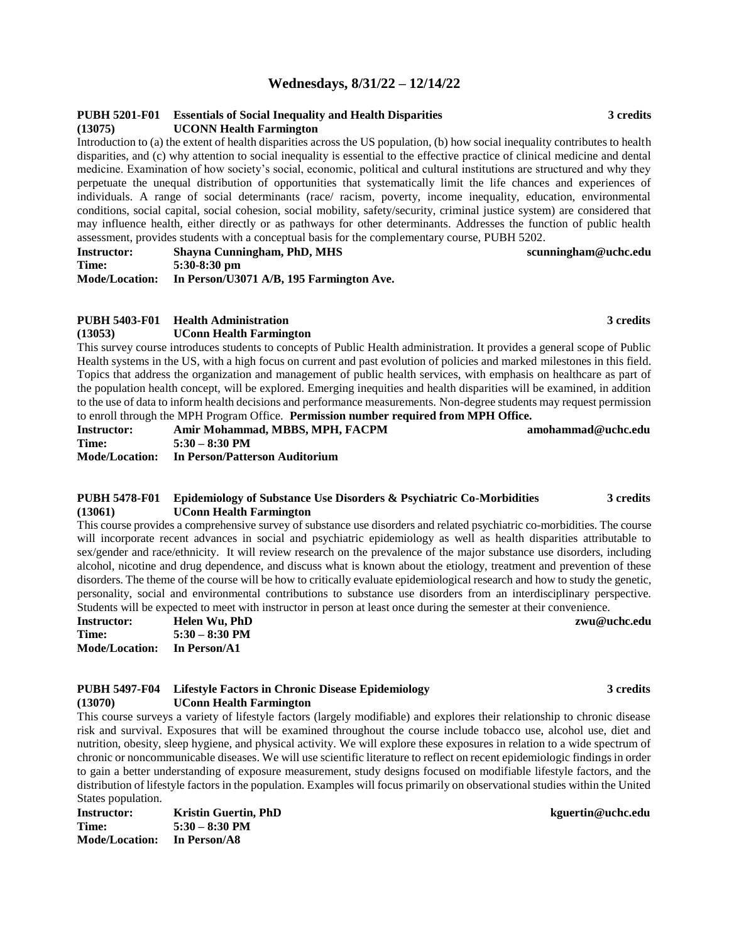### **Wednesdays, 8/31/22 – 12/14/22**

#### **PUBH 5201-F01 Essentials of Social Inequality and Health Disparities 3 credits (13075) UCONN Health Farmington**

Introduction to (a) the extent of health disparities across the US population, (b) how social inequality contributes to health disparities, and (c) why attention to social inequality is essential to the effective practice of clinical medicine and dental medicine. Examination of how society's social, economic, political and cultural institutions are structured and why they perpetuate the unequal distribution of opportunities that systematically limit the life chances and experiences of individuals. A range of social determinants (race/ racism, poverty, income inequality, education, environmental conditions, social capital, social cohesion, social mobility, safety/security, criminal justice system) are considered that may influence health, either directly or as pathways for other determinants. Addresses the function of public health assessment, provides students with a conceptual basis for the complementary course, PUBH 5202.

| <b>Instructor:</b>    | Shavna Cunningham, PhD, MHS              | scunningham@uchc.edu |
|-----------------------|------------------------------------------|----------------------|
| Time:                 | $5:30-8:30$ pm                           |                      |
| <b>Mode/Location:</b> | In Person/U3071 A/B, 195 Farmington Ave. |                      |

### **PUBH 5403-F01 Health Administration 3 credits**

**(13053) UConn Health Farmington**

This survey course introduces students to concepts of Public Health administration. It provides a general scope of Public Health systems in the US, with a high focus on current and past evolution of policies and marked milestones in this field. Topics that address the organization and management of public health services, with emphasis on healthcare as part of the population health concept, will be explored. Emerging inequities and health disparities will be examined, in addition to the use of data to inform health decisions and performance measurements. Non-degree students may request permission to enroll through the MPH Program Office. **Permission number required from MPH Office.**

| <b>Instructor:</b> | Amir Mohammad, MBBS, MPH, FACPM               | amohammad@uchc.edu |
|--------------------|-----------------------------------------------|--------------------|
| Time:              | $5:30 - 8:30$ PM                              |                    |
|                    | Mode/Location: In Person/Patterson Auditorium |                    |

#### **PUBH 5478-F01 Epidemiology of Substance Use Disorders & Psychiatric Co-Morbidities 3 credits (13061) UConn Health Farmington**

This course provides a comprehensive survey of substance use disorders and related psychiatric co-morbidities. The course will incorporate recent advances in social and psychiatric epidemiology as well as health disparities attributable to sex/gender and race/ethnicity. It will review research on the prevalence of the major substance use disorders, including alcohol, nicotine and drug dependence, and discuss what is known about the etiology, treatment and prevention of these disorders. The theme of the course will be how to critically evaluate epidemiological research and how to study the genetic, personality, social and environmental contributions to substance use disorders from an interdisciplinary perspective. Students will be expected to meet with instructor in person at least once during the semester at their convenience.

| Instructor:           | Helen Wu, PhD    |
|-----------------------|------------------|
| Time:                 | $5:30 - 8:30$ PM |
| <b>Mode/Location:</b> | In Person/A1     |

#### **PUBH 5497-F04 Lifestyle Factors in Chronic Disease Epidemiology 3 credits (13070) UConn Health Farmington**

This course surveys a variety of lifestyle factors (largely modifiable) and explores their relationship to chronic disease risk and survival. Exposures that will be examined throughout the course include tobacco use, alcohol use, diet and nutrition, obesity, sleep hygiene, and physical activity. We will explore these exposures in relation to a wide spectrum of chronic or noncommunicable diseases. We will use scientific literature to reflect on recent epidemiologic findings in order to gain a better understanding of exposure measurement, study designs focused on modifiable lifestyle factors, and the distribution of lifestyle factors in the population. Examples will focus primarily on observational studies within the United States population.

**Instructor: Kristin Guertin, PhD kguertin@uchc.edu Time: 5:30 – 8:30 PM Mode/Location: In Person/A8**

#### $\mathbf{z}$ wu@uchc.edu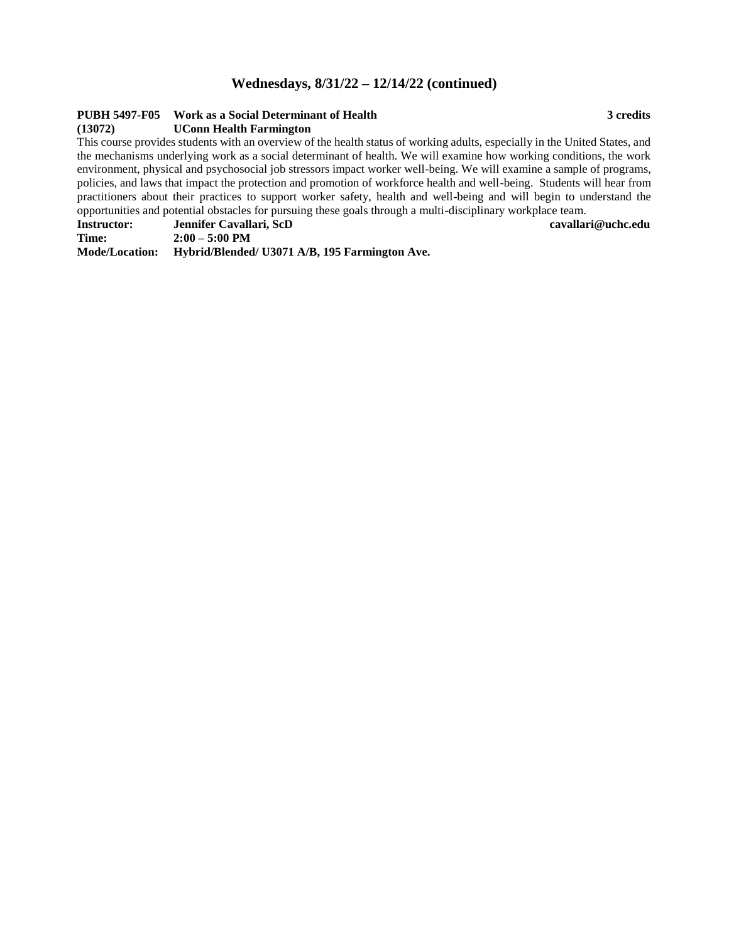### **Wednesdays, 8/31/22 – 12/14/22 (continued)**

### **PUBH 5497-F05 Work as a Social Determinant of Health 3 credits**

#### **(13072) UConn Health Farmington**

This course provides students with an overview of the health status of working adults, especially in the United States, and the mechanisms underlying work as a social determinant of health. We will examine how working conditions, the work environment, physical and psychosocial job stressors impact worker well-being. We will examine a sample of programs, policies, and laws that impact the protection and promotion of workforce health and well-being. Students will hear from practitioners about their practices to support worker safety, health and well-being and will begin to understand the opportunities and potential obstacles for pursuing these goals through a multi-disciplinary workplace team.

| <b>Instructor:</b> | Jennifer Cavallari, ScD | cavallari@uchc.edu |
|--------------------|-------------------------|--------------------|
| Time:              | $2:00 - 5:00$ PM        |                    |

**Mode/Location: Hybrid/Blended/ U3071 A/B, 195 Farmington Ave.**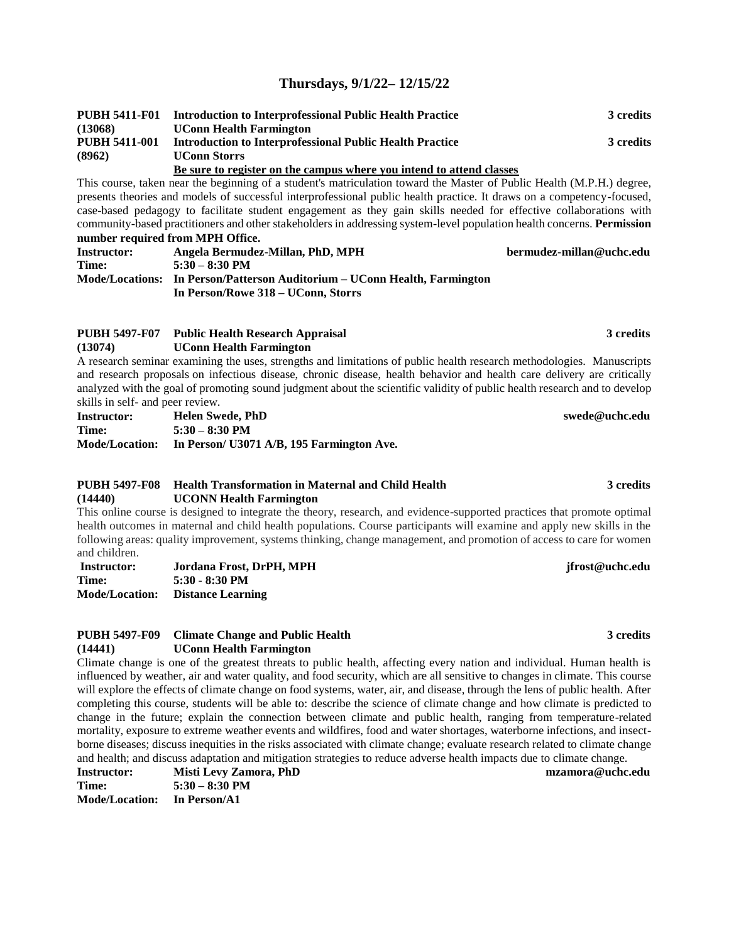# **Thursdays, 9/1/22– 12/15/22**

| <b>PUBH 5411-F01</b> | <b>Introduction to Interprofessional Public Health Practice</b>      | 3 credits |
|----------------------|----------------------------------------------------------------------|-----------|
| (13068)              | <b>UConn Health Farmington</b>                                       |           |
| <b>PUBH 5411-001</b> | <b>Introduction to Interprofessional Public Health Practice</b>      | 3 credits |
| (8962)               | <b>UConn Storrs</b>                                                  |           |
|                      | Be sure to register on the campus where you intend to attend classes |           |

#### This course, taken near the beginning of a student's matriculation toward the Master of Public Health (M.P.H.) degree, presents theories and models of successful interprofessional public health practice. It draws on a competency-focused, case-based pedagogy to facilitate student engagement as they gain skills needed for effective collaborations with community-based practitioners and other stakeholders in addressing system-level population health concerns. **Permission number required from MPH Office.**

| <b>Instructor:</b> | Angela Bermudez-Millan, PhD, MPH                                          | bermudez-millan@uchc.edu |
|--------------------|---------------------------------------------------------------------------|--------------------------|
| Time:              | $5:30 - 8:30$ PM                                                          |                          |
|                    | Mode/Locations: In Person/Patterson Auditorium – UConn Health, Farmington |                          |
|                    | In Person/Rowe 318 – UConn, Storrs                                        |                          |

#### **PUBH 5497-F07 Public Health Research Appraisal 3 credits (13074) UConn Health Farmington**

A research seminar examining the uses, strengths and limitations of public health research methodologies. Manuscripts and research proposals on infectious disease, chronic disease, health behavior and health care delivery are critically analyzed with the goal of promoting sound judgment about the scientific validity of public health research and to develop skills in self- and peer review.

| <b>Instructor:</b> | Helen Swede, PhD                                         | swede@uchc.edu |
|--------------------|----------------------------------------------------------|----------------|
| Time:              | $5:30 - 8:30$ PM                                         |                |
|                    | Mode/Location: In Person/ U3071 A/B, 195 Farmington Ave. |                |

#### **PUBH 5497-F08 Health Transformation in Maternal and Child Health 3 credits (14440) UCONN Health Farmington**

This online course is designed to integrate the theory, research, and evidence-supported practices that promote optimal health outcomes in maternal and child health populations. Course participants will examine and apply new skills in the following areas: quality improvement, systems thinking, change management, and promotion of access to care for women and children.

| Instructor:           | Jordana Frost, DrPH, MPH |
|-----------------------|--------------------------|
| Time:                 | $5:30 - 8:30 \text{ PM}$ |
| <b>Mode/Location:</b> | <b>Distance Learning</b> |

#### **PUBH 5497-F09 Climate Change and Public Health 3 credits (14441) UConn Health Farmington**

Climate change is one of the greatest threats to public health, affecting every nation and individual. Human health is influenced by weather, air and water quality, and food security, which are all sensitive to changes in climate. This course will explore the effects of climate change on food systems, water, air, and disease, through the lens of public health. After completing this course, students will be able to: describe the science of climate change and how climate is predicted to change in the future; explain the connection between climate and public health, ranging from temperature-related mortality, exposure to extreme weather events and wildfires, food and water shortages, waterborne infections, and insectborne diseases; discuss inequities in the risks associated with climate change; evaluate research related to climate change and health; and discuss adaptation and mitigation strategies to reduce adverse health impacts due to climate change.

| <b>Instructor:</b>    | Misti Levy Zamora, PhL |
|-----------------------|------------------------|
| Time:                 | $5:30 - 8:30$ PM       |
| <b>Mode/Location:</b> | In Person/A1           |

#### **Instructor: Misti Levy Zamora, PhD mzamora@uchc.edu**

#### **Instructor: Jordana Frost, DrPH, MPH jfrost@uchc.edu**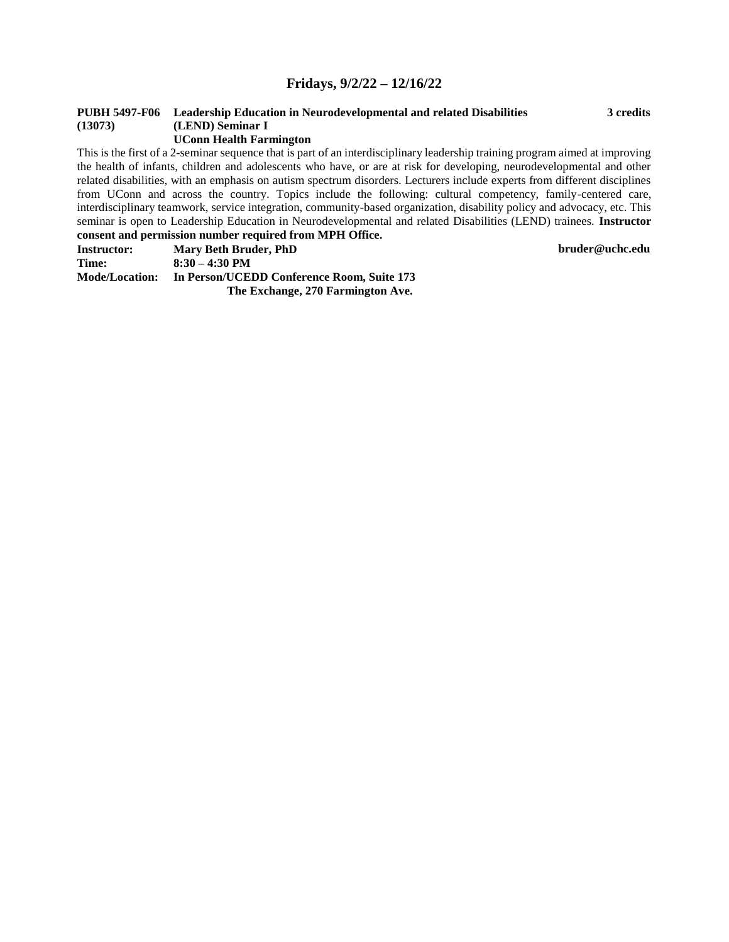### **Fridays, 9/2/22 – 12/16/22**

# **PUBH 5497-F06 Leadership Education in Neurodevelopmental and related Disabilities 3 credits (13073) (LEND) Seminar I**

**UConn Health Farmington**

This is the first of a 2-seminar sequence that is part of an interdisciplinary leadership training program aimed at improving the health of infants, children and adolescents who have, or are at risk for developing, neurodevelopmental and other related disabilities, with an emphasis on autism spectrum disorders. Lecturers include experts from different disciplines from UConn and across the country. Topics include the following: cultural competency, family-centered care, interdisciplinary teamwork, service integration, community-based organization, disability policy and advocacy, etc. This seminar is open to Leadership Education in Neurodevelopmental and related Disabilities (LEND) trainees. **Instructor consent and permission number required from MPH Office.**

**Instructor: Mary Beth Bruder, PhD bruder@uchc.edu Time: 8:30 – 4:30 PM Mode/Location: In Person/UCEDD Conference Room, Suite 173 The Exchange, 270 Farmington Ave.**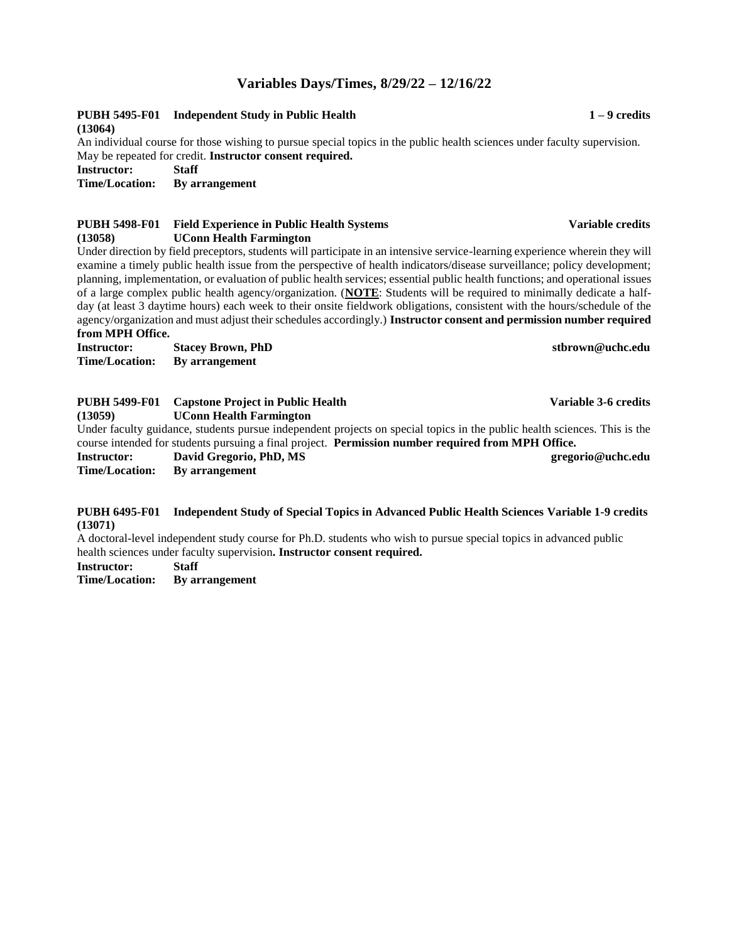### **Variables Days/Times, 8/29/22 – 12/16/22**

#### **PUBH 5495-F01 Independent Study in Public Health 1 – 9 credits (13064)**

An individual course for those wishing to pursue special topics in the public health sciences under faculty supervision. May be repeated for credit. **Instructor consent required.**

**Instructor: Staff**

**By arrangement** 

#### **PUBH 5498-F01 Field Experience in Public Health Systems Variable credits (13058) UConn Health Farmington**

Under direction by field preceptors, students will participate in an intensive service-learning experience wherein they will examine a timely public health issue from the perspective of health indicators/disease surveillance; policy development; planning, implementation, or evaluation of public health services; essential public health functions; and operational issues of a large complex public health agency/organization. (**NOTE**: Students will be required to minimally dedicate a halfday (at least 3 daytime hours) each week to their onsite fieldwork obligations, consistent with the hours/schedule of the agency/organization and must adjust their schedules accordingly.) **Instructor consent and permission number required from MPH Office.**

**Instructor: Stacey Brown, PhD stbrown@uchc.edu Time/Location: By arrangement**

| <b>PUBH 5499-F01</b>                                                                               | <b>Capstone Project in Public Health</b>                                                                                  | Variable 3-6 credits |  |
|----------------------------------------------------------------------------------------------------|---------------------------------------------------------------------------------------------------------------------------|----------------------|--|
| (13059)                                                                                            | <b>UConn Health Farmington</b>                                                                                            |                      |  |
|                                                                                                    | Under faculty guidance, students pursue independent projects on special topics in the public health sciences. This is the |                      |  |
| course intended for students pursuing a final project. Permission number required from MPH Office. |                                                                                                                           |                      |  |
| <b>Instructor:</b>                                                                                 | David Gregorio, PhD, MS                                                                                                   | gregorio@uchc.edu    |  |
| Time/Location:                                                                                     | By arrangement                                                                                                            |                      |  |
|                                                                                                    |                                                                                                                           |                      |  |

#### **PUBH 6495-F01 Independent Study of Special Topics in Advanced Public Health Sciences Variable 1-9 credits (13071)**

A doctoral-level independent study course for Ph.D. students who wish to pursue special topics in advanced public health sciences under faculty supervision**. Instructor consent required.**

**Instructor: Staff**

**Time/Location: By arrangement**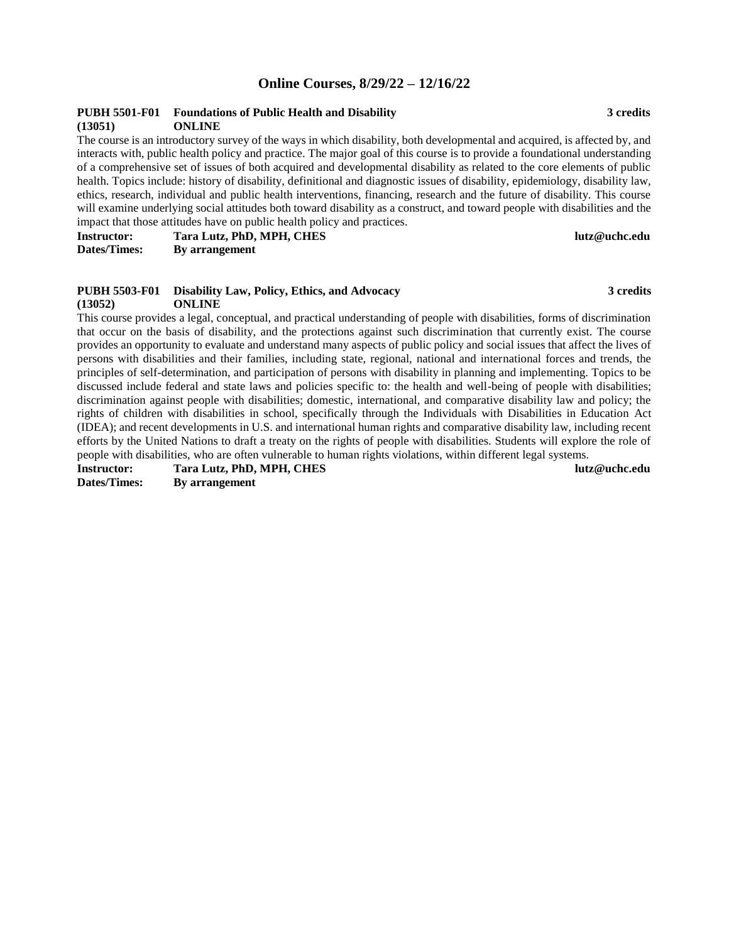### **Online Courses, 8/29/22 – 12/16/22**

#### **PUBH 5501-F01 Foundations of Public Health and Disability 3 credits (13051) ONLINE**

The course is an introductory survey of the ways in which disability, both developmental and acquired, is affected by, and interacts with, public health policy and practice. The major goal of this course is to provide a foundational understanding of a comprehensive set of issues of both acquired and developmental disability as related to the core elements of public health. Topics include: history of disability, definitional and diagnostic issues of disability, epidemiology, disability law, ethics, research, individual and public health interventions, financing, research and the future of disability. This course will examine underlying social attitudes both toward disability as a construct, and toward people with disabilities and the impact that those attitudes have on public health policy and practices.

**Instructor: Tara Lutz, PhD, MPH, CHES lutz@uchc.edu Dates/Times: By arrangement**

#### **PUBH 5503-F01 Disability Law, Policy, Ethics, and Advocacy 3 credits (13052) ONLINE**

This course provides a legal, conceptual, and practical understanding of people with disabilities, forms of discrimination that occur on the basis of disability, and the protections against such discrimination that currently exist. The course provides an opportunity to evaluate and understand many aspects of public policy and social issues that affect the lives of persons with disabilities and their families, including state, regional, national and international forces and trends, the principles of self-determination, and participation of persons with disability in planning and implementing. Topics to be discussed include federal and state laws and policies specific to: the health and well-being of people with disabilities; discrimination against people with disabilities; domestic, international, and comparative disability law and policy; the rights of children with disabilities in school, specifically through the Individuals with Disabilities in Education Act (IDEA); and recent developments in U.S. and international human rights and comparative disability law, including recent efforts by the United Nations to draft a treaty on the rights of people with disabilities. Students will explore the role of people with disabilities, who are often vulnerable to human rights violations, within different legal systems.

**Instructor: Tara Lutz, PhD, MPH, CHES lutz@uchc.edu Dates/Times: By arrangement**